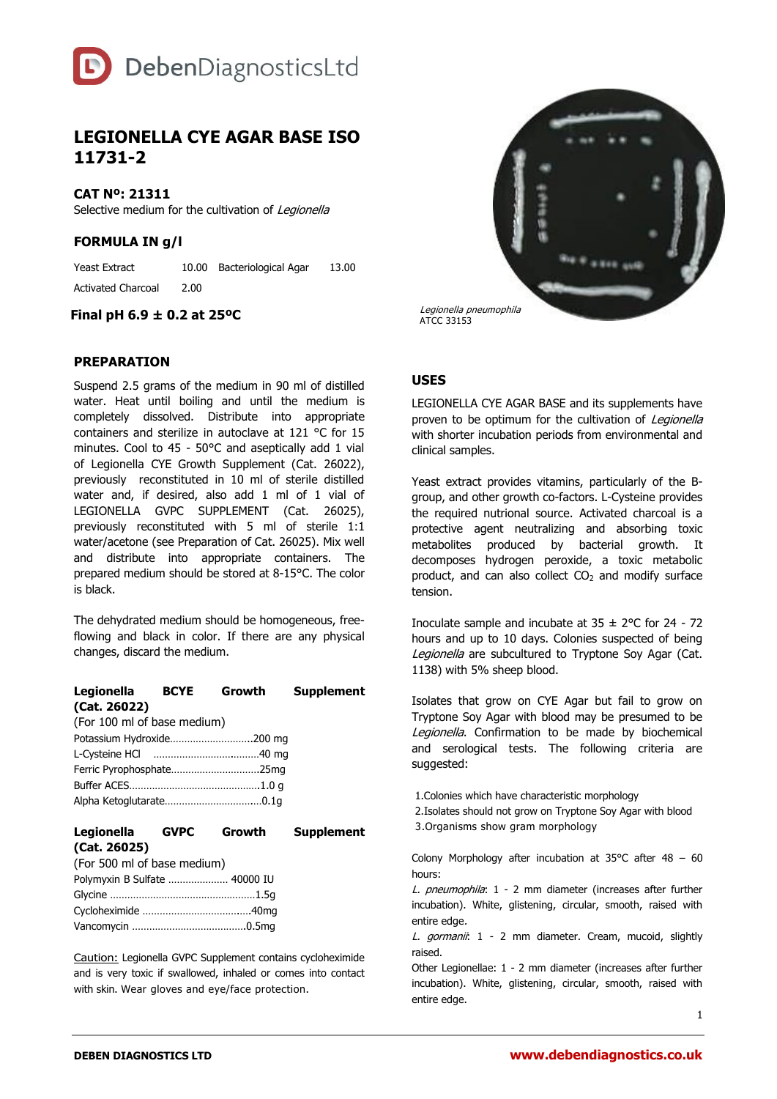

# **LEGIONELLA CYE AGAR BASE ISO 11731-2**

**CAT Nº: 21311**

Selective medium for the cultivation of Legionella

**FORMULA IN g/l**

Yeast Extract 10.00 Bacteriological Agar 13.00 Activated Charcoal 2.00

#### **Final pH 6.9 ± 0.2 at 25ºC**

### **PREPARATION**

Suspend 2.5 grams of the medium in 90 ml of distilled water. Heat until boiling and until the medium is completely dissolved. Distribute into appropriate containers and sterilize in autoclave at 121 °C for 15 minutes. Cool to 45 - 50°C and aseptically add 1 vial of Legionella CYE Growth Supplement (Cat. 26022), previously reconstituted in 10 ml of sterile distilled water and, if desired, also add 1 ml of 1 vial of LEGIONELLA GVPC SUPPLEMENT (Cat. 26025), previously reconstituted with 5 ml of sterile 1:1 water/acetone (see Preparation of Cat. 26025). Mix well and distribute into appropriate containers. The prepared medium should be stored at 8-15°C. The color is black.

The dehydrated medium should be homogeneous, freeflowing and black in color. If there are any physical changes, discard the medium.

| Legionella BCYE Growth      |  | <b>Supplement</b> |
|-----------------------------|--|-------------------|
| (Cat. 26022)                |  |                   |
| (For 100 ml of base medium) |  |                   |
| Potassium Hydroxide200 mg   |  |                   |
|                             |  |                   |
|                             |  |                   |
|                             |  |                   |
|                             |  |                   |

| Legionella                  | <b>GVPC</b> | Growth | <b>Supplement</b> |
|-----------------------------|-------------|--------|-------------------|
| (Cat. 26025)                |             |        |                   |
| (For 500 ml of base medium) |             |        |                   |

| $\frac{1}{2}$                 |  |
|-------------------------------|--|
| Polymyxin B Sulfate  40000 IU |  |
|                               |  |
|                               |  |
|                               |  |

Caution: Legionella GVPC Supplement contains cycloheximide and is very toxic if swallowed, inhaled or comes into contact with skin. Wear gloves and eye/face protection.



## **USES**

LEGIONELLA CYE AGAR BASE and its supplements have proven to be optimum for the cultivation of Legionella with shorter incubation periods from environmental and clinical samples.

Yeast extract provides vitamins, particularly of the Bgroup, and other growth co-factors. L-Cysteine provides the required nutrional source. Activated charcoal is a protective agent neutralizing and absorbing toxic metabolites produced by bacterial growth. It decomposes hydrogen peroxide, a toxic metabolic product, and can also collect  $CO<sub>2</sub>$  and modify surface tension.

Inoculate sample and incubate at  $35 \pm 2^{\circ}$ C for 24 - 72 hours and up to 10 days. Colonies suspected of being Legionella are subcultured to Tryptone Soy Agar (Cat. 1138) with 5% sheep blood.

Isolates that grow on CYE Agar but fail to grow on Tryptone Soy Agar with blood may be presumed to be Legionella. Confirmation to be made by biochemical and serological tests. The following criteria are suggested:

1.Colonies which have characteristic morphology 2.Isolates should not grow on Tryptone Soy Agar with blood 3.Organisms show gram morphology

Colony Morphology after incubation at  $35^{\circ}$ C after 48 – 60 hours:

L. pneumophila: 1 - 2 mm diameter (increases after further incubation). White, glistening, circular, smooth, raised with entire edge.

L. gormanii: 1 - 2 mm diameter. Cream, mucoid, slightly raised.

Other Legionellae: 1 - 2 mm diameter (increases after further incubation). White, glistening, circular, smooth, raised with entire edge.

1